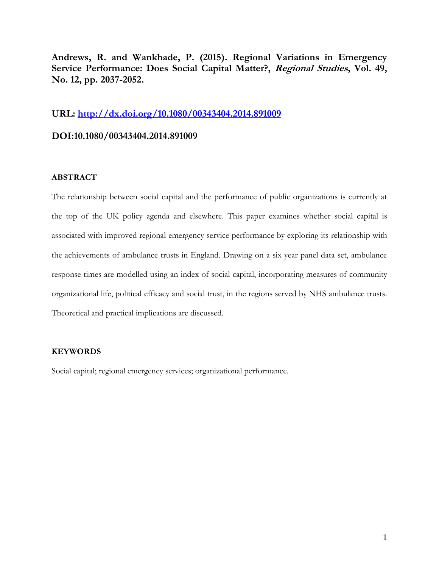**Andrews, R. and Wankhade, P. (2015). Regional Variations in Emergency Service Performance: Does Social Capital Matter?, Regional Studies, Vol. 49, No. 12, pp. 2037-2052.**

# **URL:<http://dx.doi.org/10.1080/00343404.2014.891009>**

# **DOI:10.1080/00343404.2014.891009**

## **ABSTRACT**

The relationship between social capital and the performance of public organizations is currently at the top of the UK policy agenda and elsewhere. This paper examines whether social capital is associated with improved regional emergency service performance by exploring its relationship with the achievements of ambulance trusts in England. Drawing on a six year panel data set, ambulance response times are modelled using an index of social capital, incorporating measures of community organizational life, political efficacy and social trust, in the regions served by NHS ambulance trusts. Theoretical and practical implications are discussed.

## **KEYWORDS**

Social capital; regional emergency services; organizational performance.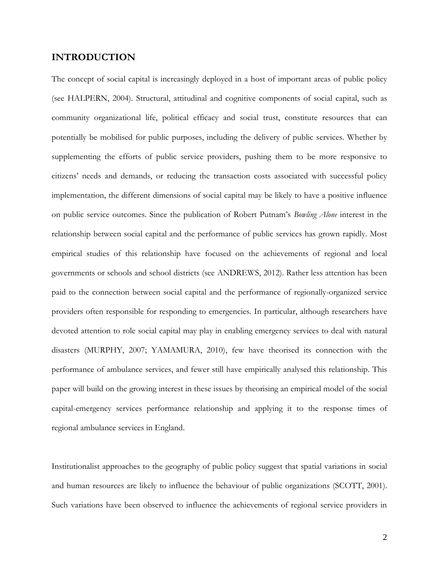# **INTRODUCTION**

The concept of social capital is increasingly deployed in a host of important areas of public policy (see HALPERN, 2004). Structural, attitudinal and cognitive components of social capital, such as community organizational life, political efficacy and social trust, constitute resources that can potentially be mobilised for public purposes, including the delivery of public services. Whether by supplementing the efforts of public service providers, pushing them to be more responsive to citizens' needs and demands, or reducing the transaction costs associated with successful policy implementation, the different dimensions of social capital may be likely to have a positive influence on public service outcomes. Since the publication of Robert Putnam's *Bowling Alone* interest in the relationship between social capital and the performance of public services has grown rapidly. Most empirical studies of this relationship have focused on the achievements of regional and local governments or schools and school districts (see ANDREWS, 2012). Rather less attention has been paid to the connection between social capital and the performance of regionally-organized service providers often responsible for responding to emergencies. In particular, although researchers have devoted attention to role social capital may play in enabling emergency services to deal with natural disasters (MURPHY, 2007; YAMAMURA, 2010), few have theorised its connection with the performance of ambulance services, and fewer still have empirically analysed this relationship. This paper will build on the growing interest in these issues by theorising an empirical model of the social capital-emergency services performance relationship and applying it to the response times of regional ambulance services in England.

Institutionalist approaches to the geography of public policy suggest that spatial variations in social and human resources are likely to influence the behaviour of public organizations (SCOTT, 2001). Such variations have been observed to influence the achievements of regional service providers in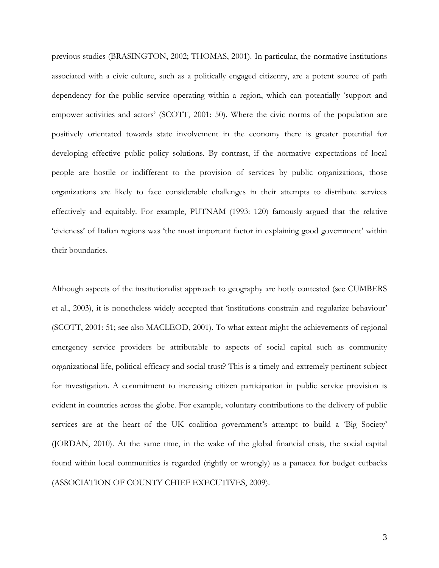previous studies (BRASINGTON, 2002; THOMAS, 2001). In particular, the normative institutions associated with a civic culture, such as a politically engaged citizenry, are a potent source of path dependency for the public service operating within a region, which can potentially 'support and empower activities and actors' (SCOTT, 2001: 50). Where the civic norms of the population are positively orientated towards state involvement in the economy there is greater potential for developing effective public policy solutions. By contrast, if the normative expectations of local people are hostile or indifferent to the provision of services by public organizations, those organizations are likely to face considerable challenges in their attempts to distribute services effectively and equitably. For example, PUTNAM (1993: 120) famously argued that the relative 'civicness' of Italian regions was 'the most important factor in explaining good government' within their boundaries.

Although aspects of the institutionalist approach to geography are hotly contested (see CUMBERS et al., 2003), it is nonetheless widely accepted that 'institutions constrain and regularize behaviour' (SCOTT, 2001: 51; see also MACLEOD, 2001). To what extent might the achievements of regional emergency service providers be attributable to aspects of social capital such as community organizational life, political efficacy and social trust? This is a timely and extremely pertinent subject for investigation. A commitment to increasing citizen participation in public service provision is evident in countries across the globe. For example, voluntary contributions to the delivery of public services are at the heart of the UK coalition government's attempt to build a 'Big Society' (JORDAN, 2010). At the same time, in the wake of the global financial crisis, the social capital found within local communities is regarded (rightly or wrongly) as a panacea for budget cutbacks (ASSOCIATION OF COUNTY CHIEF EXECUTIVES, 2009).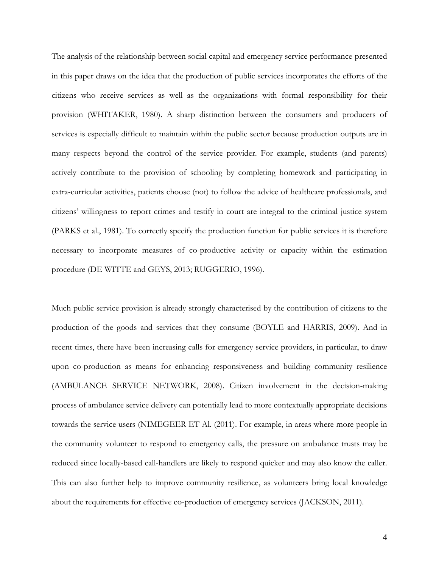The analysis of the relationship between social capital and emergency service performance presented in this paper draws on the idea that the production of public services incorporates the efforts of the citizens who receive services as well as the organizations with formal responsibility for their provision (WHITAKER, 1980). A sharp distinction between the consumers and producers of services is especially difficult to maintain within the public sector because production outputs are in many respects beyond the control of the service provider. For example, students (and parents) actively contribute to the provision of schooling by completing homework and participating in extra-curricular activities, patients choose (not) to follow the advice of healthcare professionals, and citizens' willingness to report crimes and testify in court are integral to the criminal justice system (PARKS et al., 1981). To correctly specify the production function for public services it is therefore necessary to incorporate measures of co-productive activity or capacity within the estimation procedure (DE WITTE and GEYS, 2013; RUGGERIO, 1996).

Much public service provision is already strongly characterised by the contribution of citizens to the production of the goods and services that they consume (BOYLE and HARRIS, 2009). And in recent times, there have been increasing calls for emergency service providers, in particular, to draw upon co-production as means for enhancing responsiveness and building community resilience (AMBULANCE SERVICE NETWORK, 2008). Citizen involvement in the decision-making process of ambulance service delivery can potentially lead to more contextually appropriate decisions towards the service users (NIMEGEER ET Al. (2011). For example, in areas where more people in the community volunteer to respond to emergency calls, the pressure on ambulance trusts may be reduced since locally-based call-handlers are likely to respond quicker and may also know the caller. This can also further help to improve community resilience, as volunteers bring local knowledge about the requirements for effective co-production of emergency services (JACKSON, 2011).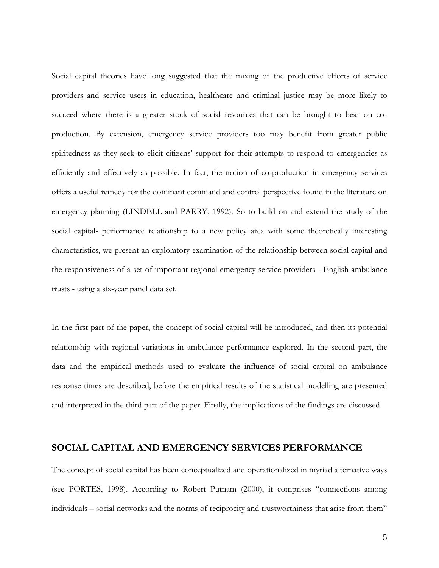Social capital theories have long suggested that the mixing of the productive efforts of service providers and service users in education, healthcare and criminal justice may be more likely to succeed where there is a greater stock of social resources that can be brought to bear on coproduction. By extension, emergency service providers too may benefit from greater public spiritedness as they seek to elicit citizens' support for their attempts to respond to emergencies as efficiently and effectively as possible. In fact, the notion of co-production in emergency services offers a useful remedy for the dominant command and control perspective found in the literature on emergency planning (LINDELL and PARRY, 1992). So to build on and extend the study of the social capital- performance relationship to a new policy area with some theoretically interesting characteristics, we present an exploratory examination of the relationship between social capital and the responsiveness of a set of important regional emergency service providers - English ambulance trusts - using a six-year panel data set.

In the first part of the paper, the concept of social capital will be introduced, and then its potential relationship with regional variations in ambulance performance explored. In the second part, the data and the empirical methods used to evaluate the influence of social capital on ambulance response times are described, before the empirical results of the statistical modelling are presented and interpreted in the third part of the paper. Finally, the implications of the findings are discussed.

# **SOCIAL CAPITAL AND EMERGENCY SERVICES PERFORMANCE**

The concept of social capital has been conceptualized and operationalized in myriad alternative ways (see PORTES, 1998). According to Robert Putnam (2000), it comprises "connections among individuals – social networks and the norms of reciprocity and trustworthiness that arise from them"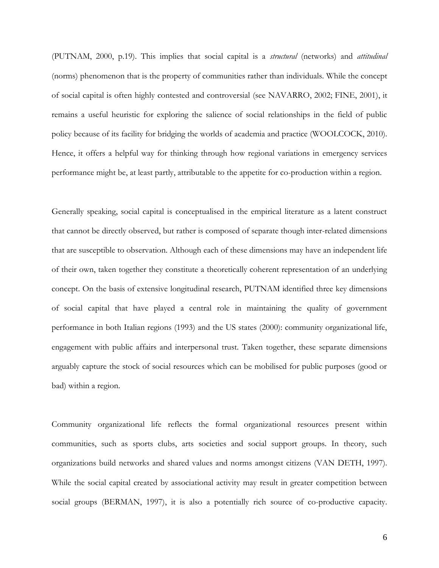(PUTNAM, 2000, p.19). This implies that social capital is a *structural* (networks) and *attitudinal* (norms) phenomenon that is the property of communities rather than individuals. While the concept of social capital is often highly contested and controversial (see NAVARRO, 2002; FINE, 2001), it remains a useful heuristic for exploring the salience of social relationships in the field of public policy because of its facility for bridging the worlds of academia and practice (WOOLCOCK, 2010). Hence, it offers a helpful way for thinking through how regional variations in emergency services performance might be, at least partly, attributable to the appetite for co-production within a region.

Generally speaking, social capital is conceptualised in the empirical literature as a latent construct that cannot be directly observed, but rather is composed of separate though inter-related dimensions that are susceptible to observation. Although each of these dimensions may have an independent life of their own, taken together they constitute a theoretically coherent representation of an underlying concept. On the basis of extensive longitudinal research, PUTNAM identified three key dimensions of social capital that have played a central role in maintaining the quality of government performance in both Italian regions (1993) and the US states (2000): community organizational life, engagement with public affairs and interpersonal trust. Taken together, these separate dimensions arguably capture the stock of social resources which can be mobilised for public purposes (good or bad) within a region.

Community organizational life reflects the formal organizational resources present within communities, such as sports clubs, arts societies and social support groups. In theory, such organizations build networks and shared values and norms amongst citizens (VAN DETH, 1997). While the social capital created by associational activity may result in greater competition between social groups (BERMAN, 1997), it is also a potentially rich source of co-productive capacity.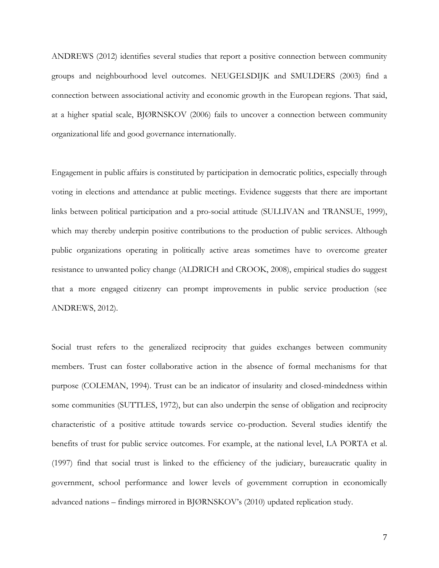ANDREWS (2012) identifies several studies that report a positive connection between community groups and neighbourhood level outcomes. NEUGELSDIJK and SMULDERS (2003) find a connection between associational activity and economic growth in the European regions. That said, at a higher spatial scale, BJØRNSKOV (2006) fails to uncover a connection between community organizational life and good governance internationally.

Engagement in public affairs is constituted by participation in democratic politics, especially through voting in elections and attendance at public meetings. Evidence suggests that there are important links between political participation and a pro-social attitude (SULLIVAN and TRANSUE, 1999), which may thereby underpin positive contributions to the production of public services. Although public organizations operating in politically active areas sometimes have to overcome greater resistance to unwanted policy change (ALDRICH and CROOK, 2008), empirical studies do suggest that a more engaged citizenry can prompt improvements in public service production (see ANDREWS, 2012).

Social trust refers to the generalized reciprocity that guides exchanges between community members. Trust can foster collaborative action in the absence of formal mechanisms for that purpose (COLEMAN, 1994). Trust can be an indicator of insularity and closed-mindedness within some communities (SUTTLES, 1972), but can also underpin the sense of obligation and reciprocity characteristic of a positive attitude towards service co-production. Several studies identify the benefits of trust for public service outcomes. For example, at the national level, LA PORTA et al. (1997) find that social trust is linked to the efficiency of the judiciary, bureaucratic quality in government, school performance and lower levels of government corruption in economically advanced nations – findings mirrored in BJØRNSKOV's (2010) updated replication study.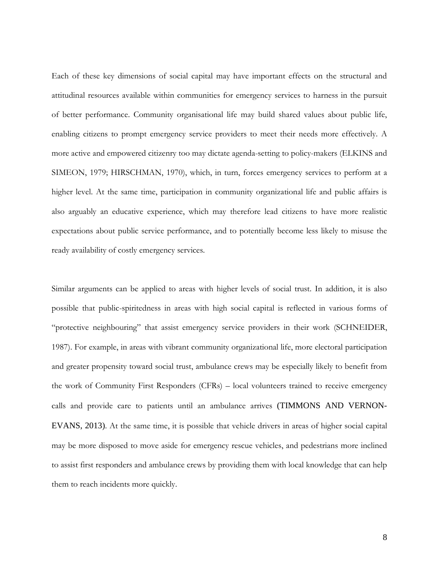Each of these key dimensions of social capital may have important effects on the structural and attitudinal resources available within communities for emergency services to harness in the pursuit of better performance. Community organisational life may build shared values about public life, enabling citizens to prompt emergency service providers to meet their needs more effectively. A more active and empowered citizenry too may dictate agenda-setting to policy-makers (ELKINS and SIMEON, 1979; HIRSCHMAN, 1970), which, in turn, forces emergency services to perform at a higher level. At the same time, participation in community organizational life and public affairs is also arguably an educative experience, which may therefore lead citizens to have more realistic expectations about public service performance, and to potentially become less likely to misuse the ready availability of costly emergency services.

Similar arguments can be applied to areas with higher levels of social trust. In addition, it is also possible that public-spiritedness in areas with high social capital is reflected in various forms of "protective neighbouring" that assist emergency service providers in their work (SCHNEIDER, 1987). For example, in areas with vibrant community organizational life, more electoral participation and greater propensity toward social trust, ambulance crews may be especially likely to benefit from the work of Community First Responders (CFRs) – local volunteers trained to receive emergency calls and provide care to patients until an ambulance arrives (TIMMONS AND VERNON-EVANS, 2013). At the same time, it is possible that vehicle drivers in areas of higher social capital may be more disposed to move aside for emergency rescue vehicles, and pedestrians more inclined to assist first responders and ambulance crews by providing them with local knowledge that can help them to reach incidents more quickly.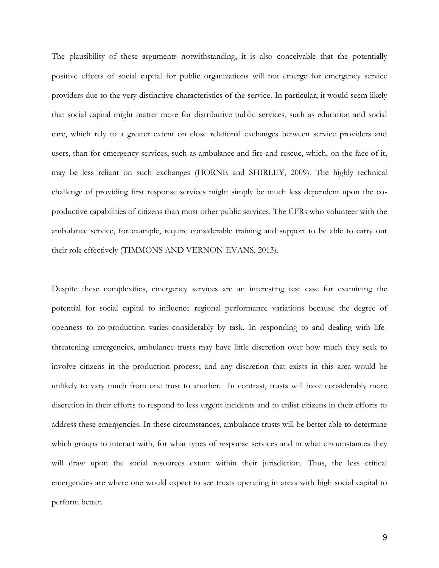The plausibility of these arguments notwithstanding, it is also conceivable that the potentially positive effects of social capital for public organizations will not emerge for emergency service providers due to the very distinctive characteristics of the service. In particular, it would seem likely that social capital might matter more for distributive public services, such as education and social care, which rely to a greater extent on close relational exchanges between service providers and users, than for emergency services, such as ambulance and fire and rescue, which, on the face of it, may be less reliant on such exchanges (HORNE and SHIRLEY, 2009). The highly technical challenge of providing first response services might simply be much less dependent upon the coproductive capabilities of citizens than most other public services. The CFRs who volunteer with the ambulance service, for example, require considerable training and support to be able to carry out their role effectively (TIMMONS AND VERNON-EVANS, 2013).

Despite these complexities, emergency services are an interesting test case for examining the potential for social capital to influence regional performance variations because the degree of openness to co-production varies considerably by task. In responding to and dealing with lifethreatening emergencies, ambulance trusts may have little discretion over how much they seek to involve citizens in the production process; and any discretion that exists in this area would be unlikely to vary much from one trust to another. In contrast, trusts will have considerably more discretion in their efforts to respond to less urgent incidents and to enlist citizens in their efforts to address these emergencies. In these circumstances, ambulance trusts will be better able to determine which groups to interact with, for what types of response services and in what circumstances they will draw upon the social resources extant within their jurisdiction. Thus, the less critical emergencies are where one would expect to see trusts operating in areas with high social capital to perform better.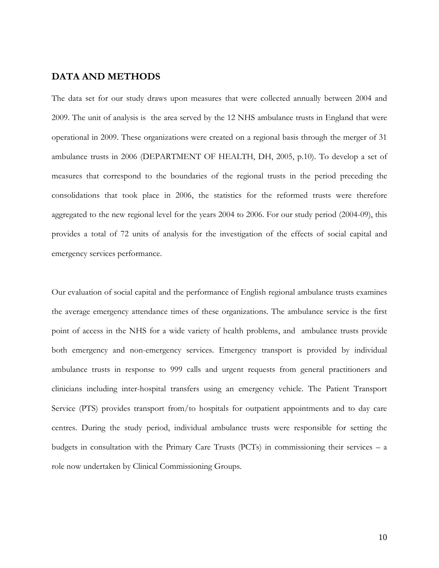## **DATA AND METHODS**

The data set for our study draws upon measures that were collected annually between 2004 and 2009. The unit of analysis is the area served by the 12 NHS ambulance trusts in England that were operational in 2009. These organizations were created on a regional basis through the merger of 31 ambulance trusts in 2006 (DEPARTMENT OF HEALTH, DH, 2005, p.10). To develop a set of measures that correspond to the boundaries of the regional trusts in the period preceding the consolidations that took place in 2006, the statistics for the reformed trusts were therefore aggregated to the new regional level for the years 2004 to 2006. For our study period (2004-09), this provides a total of 72 units of analysis for the investigation of the effects of social capital and emergency services performance.

Our evaluation of social capital and the performance of English regional ambulance trusts examines the average emergency attendance times of these organizations. The ambulance service is the first point of access in the NHS for a wide variety of health problems, and ambulance trusts provide both emergency and non-emergency services. Emergency transport is provided by individual ambulance trusts in response to 999 calls and urgent requests from general practitioners and clinicians including inter-hospital transfers using an emergency vehicle. The Patient Transport Service (PTS) provides transport from/to hospitals for outpatient appointments and to day care centres. During the study period, individual ambulance trusts were responsible for setting the budgets in consultation with the Primary Care Trusts (PCTs) in commissioning their services – a role now undertaken by Clinical Commissioning Groups.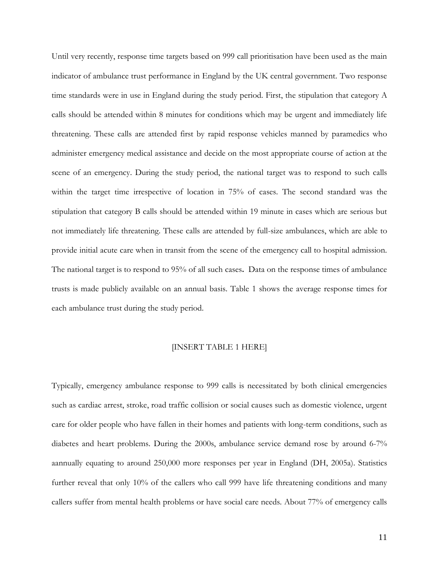Until very recently, response time targets based on 999 call prioritisation have been used as the main indicator of ambulance trust performance in England by the UK central government. Two response time standards were in use in England during the study period. First, the stipulation that category A calls should be attended within 8 minutes for conditions which may be urgent and immediately life threatening. These calls are attended first by rapid response vehicles manned by paramedics who administer emergency medical assistance and decide on the most appropriate course of action at the scene of an emergency. During the study period, the national target was to respond to such calls within the target time irrespective of location in 75% of cases. The second standard was the stipulation that category B calls should be attended within 19 minute in cases which are serious but not immediately life threatening. These calls are attended by full-size ambulances, which are able to provide initial acute care when in transit from the scene of the emergency call to hospital admission. The national target is to respond to 95% of all such cases**.** Data on the response times of ambulance trusts is made publicly available on an annual basis. Table 1 shows the average response times for each ambulance trust during the study period.

## [INSERT TABLE 1 HERE]

Typically, emergency ambulance response to 999 calls is necessitated by both clinical emergencies such as cardiac arrest, stroke, road traffic collision or social causes such as domestic violence, urgent care for older people who have fallen in their homes and patients with long-term conditions, such as diabetes and heart problems. During the 2000s, ambulance service demand rose by around 6-7% aannually equating to around 250,000 more responses per year in England (DH, 2005a). Statistics further reveal that only 10% of the callers who call 999 have life threatening conditions and many callers suffer from mental health problems or have social care needs. About 77% of emergency calls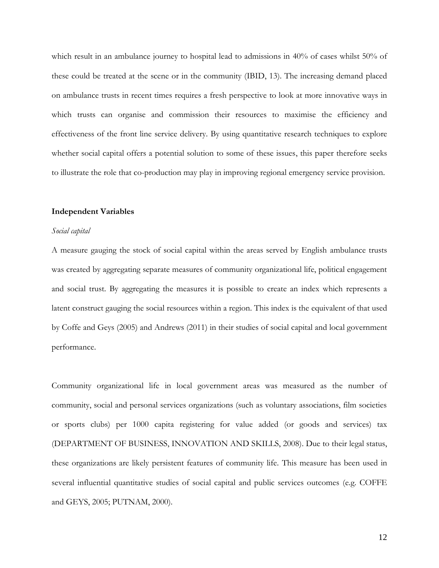which result in an ambulance journey to hospital lead to admissions in 40% of cases whilst 50% of these could be treated at the scene or in the community (IBID, 13). The increasing demand placed on ambulance trusts in recent times requires a fresh perspective to look at more innovative ways in which trusts can organise and commission their resources to maximise the efficiency and effectiveness of the front line service delivery. By using quantitative research techniques to explore whether social capital offers a potential solution to some of these issues, this paper therefore seeks to illustrate the role that co-production may play in improving regional emergency service provision.

#### **Independent Variables**

#### *Social capital*

A measure gauging the stock of social capital within the areas served by English ambulance trusts was created by aggregating separate measures of community organizational life, political engagement and social trust. By aggregating the measures it is possible to create an index which represents a latent construct gauging the social resources within a region. This index is the equivalent of that used by Coffe and Geys (2005) and Andrews (2011) in their studies of social capital and local government performance.

Community organizational life in local government areas was measured as the number of community, social and personal services organizations (such as voluntary associations, film societies or sports clubs) per 1000 capita registering for value added (or goods and services) tax (DEPARTMENT OF BUSINESS, INNOVATION AND SKILLS, 2008). Due to their legal status, these organizations are likely persistent features of community life. This measure has been used in several influential quantitative studies of social capital and public services outcomes (e.g. COFFE and GEYS, 2005; PUTNAM, 2000).

12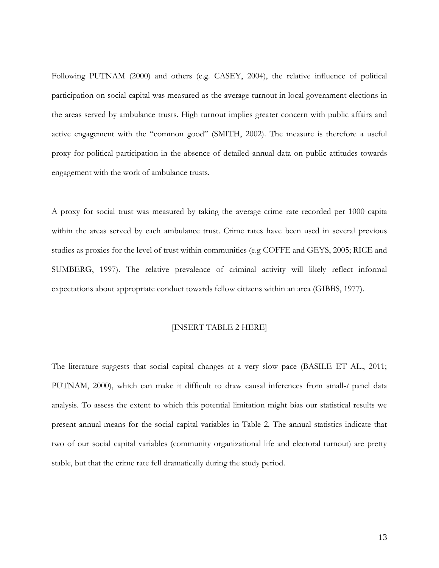Following PUTNAM (2000) and others (e.g. CASEY, 2004), the relative influence of political participation on social capital was measured as the average turnout in local government elections in the areas served by ambulance trusts. High turnout implies greater concern with public affairs and active engagement with the "common good" (SMITH, 2002). The measure is therefore a useful proxy for political participation in the absence of detailed annual data on public attitudes towards engagement with the work of ambulance trusts.

A proxy for social trust was measured by taking the average crime rate recorded per 1000 capita within the areas served by each ambulance trust. Crime rates have been used in several previous studies as proxies for the level of trust within communities (e.g COFFE and GEYS, 2005; RICE and SUMBERG, 1997). The relative prevalence of criminal activity will likely reflect informal expectations about appropriate conduct towards fellow citizens within an area (GIBBS, 1977).

## [INSERT TABLE 2 HERE]

The literature suggests that social capital changes at a very slow pace (BASILE ET AL., 2011; PUTNAM, 2000), which can make it difficult to draw causal inferences from small-*t* panel data analysis. To assess the extent to which this potential limitation might bias our statistical results we present annual means for the social capital variables in Table 2. The annual statistics indicate that two of our social capital variables (community organizational life and electoral turnout) are pretty stable, but that the crime rate fell dramatically during the study period.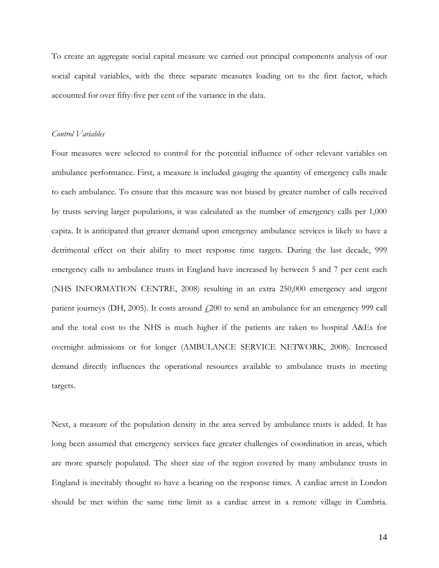To create an aggregate social capital measure we carried out principal components analysis of our social capital variables, with the three separate measures loading on to the first factor, which accounted for over fifty-five per cent of the variance in the data.

## *Control Variables*

Four measures were selected to control for the potential influence of other relevant variables on ambulance performance. First, a measure is included gauging the quantity of emergency calls made to each ambulance. To ensure that this measure was not biased by greater number of calls received by trusts serving larger populations, it was calculated as the number of emergency calls per 1,000 capita. It is anticipated that greater demand upon emergency ambulance services is likely to have a detrimental effect on their ability to meet response time targets. During the last decade, 999 emergency calls to ambulance trusts in England have increased by between 5 and 7 per cent each (NHS INFORMATION CENTRE, 2008) resulting in an extra 250,000 emergency and urgent patient journeys (DH, 2005). It costs around  $f(200)$  to send an ambulance for an emergency 999 call and the total cost to the NHS is much higher if the patients are taken to hospital A&Es for overnight admissions or for longer (AMBULANCE SERVICE NETWORK, 2008). Increased demand directly influences the operational resources available to ambulance trusts in meeting targets.

Next, a measure of the population density in the area served by ambulance trusts is added. It has long been assumed that emergency services face greater challenges of coordination in areas, which are more sparsely populated. The sheer size of the region covered by many ambulance trusts in England is inevitably thought to have a bearing on the response times. A cardiac arrest in London should be met within the same time limit as a cardiac arrest in a remote village in Cumbria.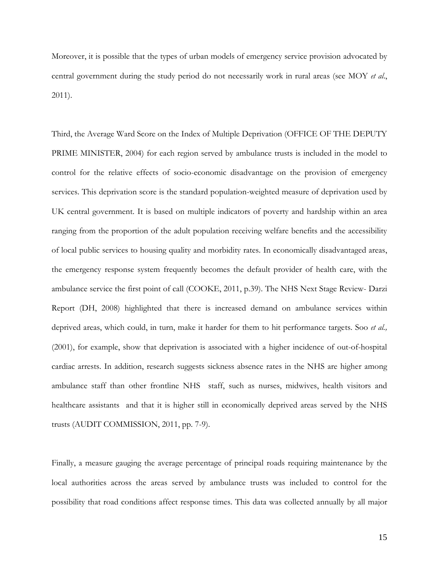Moreover, it is possible that the types of urban models of emergency service provision advocated by central government during the study period do not necessarily work in rural areas (see MOY *et al*., 2011).

Third, the Average Ward Score on the Index of Multiple Deprivation (OFFICE OF THE DEPUTY PRIME MINISTER, 2004) for each region served by ambulance trusts is included in the model to control for the relative effects of socio-economic disadvantage on the provision of emergency services. This deprivation score is the standard population-weighted measure of deprivation used by UK central government. It is based on multiple indicators of poverty and hardship within an area ranging from the proportion of the adult population receiving welfare benefits and the accessibility of local public services to housing quality and morbidity rates. In economically disadvantaged areas, the emergency response system frequently becomes the default provider of health care, with the ambulance service the first point of call (COOKE, 2011, p.39). The NHS Next Stage Review- Darzi Report (DH, 2008) highlighted that there is increased demand on ambulance services within deprived areas, which could, in turn, make it harder for them to hit performance targets. Soo *et al.,* (2001), for example, show that deprivation is associated with a higher incidence of out-of-hospital cardiac arrests. In addition, research suggests sickness absence rates in the NHS are higher among ambulance staff than other frontline NHS staff, such as nurses, midwives, health visitors and healthcare assistants and that it is higher still in economically deprived areas served by the NHS trusts (AUDIT COMMISSION, 2011, pp. 7-9).

Finally, a measure gauging the average percentage of principal roads requiring maintenance by the local authorities across the areas served by ambulance trusts was included to control for the possibility that road conditions affect response times. This data was collected annually by all major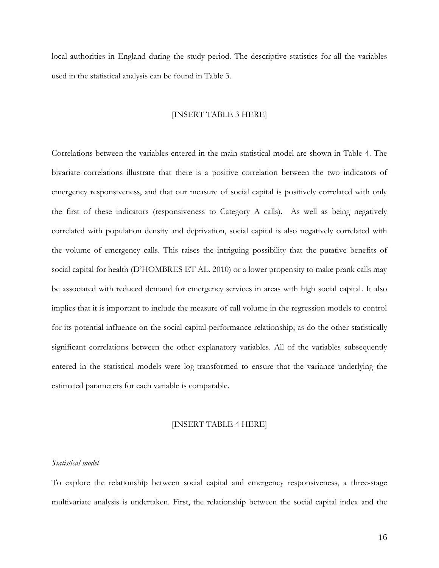local authorities in England during the study period. The descriptive statistics for all the variables used in the statistical analysis can be found in Table 3.

## [INSERT TABLE 3 HERE]

Correlations between the variables entered in the main statistical model are shown in Table 4. The bivariate correlations illustrate that there is a positive correlation between the two indicators of emergency responsiveness, and that our measure of social capital is positively correlated with only the first of these indicators (responsiveness to Category A calls). As well as being negatively correlated with population density and deprivation, social capital is also negatively correlated with the volume of emergency calls. This raises the intriguing possibility that the putative benefits of social capital for health (D'HOMBRES ET AL. 2010) or a lower propensity to make prank calls may be associated with reduced demand for emergency services in areas with high social capital. It also implies that it is important to include the measure of call volume in the regression models to control for its potential influence on the social capital-performance relationship; as do the other statistically significant correlations between the other explanatory variables. All of the variables subsequently entered in the statistical models were log-transformed to ensure that the variance underlying the estimated parameters for each variable is comparable.

### [INSERT TABLE 4 HERE]

## *Statistical model*

To explore the relationship between social capital and emergency responsiveness, a three-stage multivariate analysis is undertaken. First, the relationship between the social capital index and the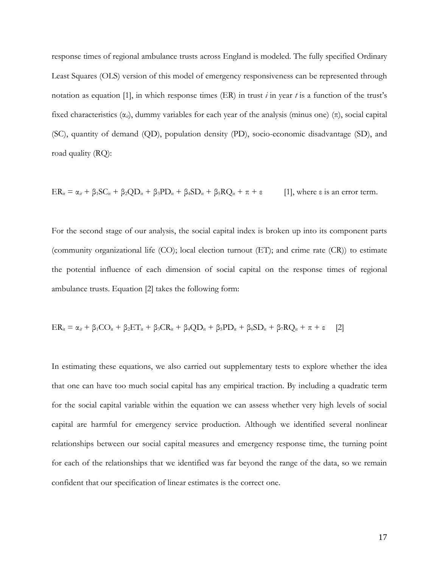response times of regional ambulance trusts across England is modeled. The fully specified Ordinary Least Squares (OLS) version of this model of emergency responsiveness can be represented through notation as equation [1], in which response times (ER) in trust *i* in year *t* is a function of the trust's fixed characteristics  $(\alpha_{ii})$ , dummy variables for each year of the analysis (minus one)  $(\pi)$ , social capital (SC), quantity of demand (QD), population density (PD), socio-economic disadvantage (SD), and road quality (RQ):

$$
ER_{it} = \alpha_{it} + \beta_1 SC_{it} + \beta_2 QD_{it} + \beta_3 PD_{it} + \beta_4 SD_{it} + \beta_5 RQ_{it} + \pi + \epsilon
$$
 [1], where  $\epsilon$  is an error term.

For the second stage of our analysis, the social capital index is broken up into its component parts (community organizational life (CO); local election turnout (ET); and crime rate (CR)) to estimate the potential influence of each dimension of social capital on the response times of regional ambulance trusts. Equation [2] takes the following form:

$$
ER_{it} = \alpha_{it} + \beta_1 CO_{it} + \beta_2 ET_{it} + \beta_3 CR_{it} + \beta_4 QD_{it} + \beta_5 PD_{it} + \beta_6 SD_{it} + \beta_7 RQ_{it} + \pi + \epsilon \tag{2}
$$

In estimating these equations, we also carried out supplementary tests to explore whether the idea that one can have too much social capital has any empirical traction. By including a quadratic term for the social capital variable within the equation we can assess whether very high levels of social capital are harmful for emergency service production. Although we identified several nonlinear relationships between our social capital measures and emergency response time, the turning point for each of the relationships that we identified was far beyond the range of the data, so we remain confident that our specification of linear estimates is the correct one.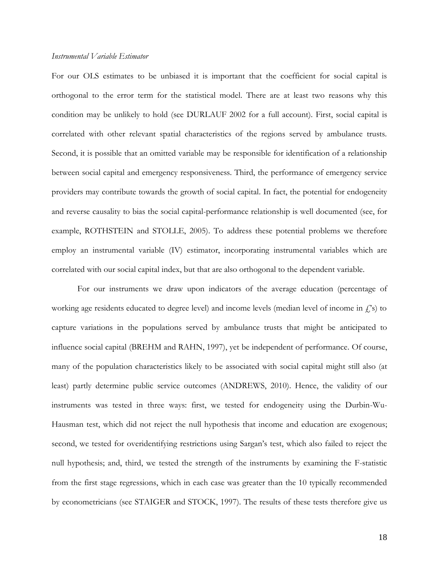#### *Instrumental Variable Estimator*

For our OLS estimates to be unbiased it is important that the coefficient for social capital is orthogonal to the error term for the statistical model. There are at least two reasons why this condition may be unlikely to hold (see DURLAUF 2002 for a full account). First, social capital is correlated with other relevant spatial characteristics of the regions served by ambulance trusts. Second, it is possible that an omitted variable may be responsible for identification of a relationship between social capital and emergency responsiveness. Third, the performance of emergency service providers may contribute towards the growth of social capital. In fact, the potential for endogeneity and reverse causality to bias the social capital-performance relationship is well documented (see, for example, ROTHSTEIN and STOLLE, 2005). To address these potential problems we therefore employ an instrumental variable (IV) estimator, incorporating instrumental variables which are correlated with our social capital index, but that are also orthogonal to the dependent variable.

For our instruments we draw upon indicators of the average education (percentage of working age residents educated to degree level) and income levels (median level of income in  $f(s)$  to capture variations in the populations served by ambulance trusts that might be anticipated to influence social capital (BREHM and RAHN, 1997), yet be independent of performance. Of course, many of the population characteristics likely to be associated with social capital might still also (at least) partly determine public service outcomes (ANDREWS, 2010). Hence, the validity of our instruments was tested in three ways: first, we tested for endogeneity using the Durbin-Wu-Hausman test, which did not reject the null hypothesis that income and education are exogenous; second, we tested for overidentifying restrictions using Sargan's test, which also failed to reject the null hypothesis; and, third, we tested the strength of the instruments by examining the F-statistic from the first stage regressions, which in each case was greater than the 10 typically recommended by econometricians (see STAIGER and STOCK, 1997). The results of these tests therefore give us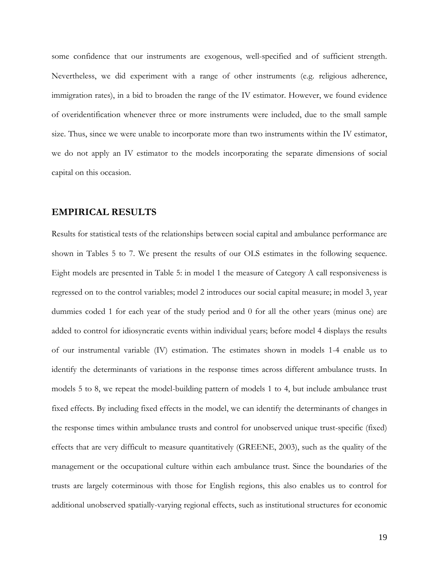some confidence that our instruments are exogenous, well-specified and of sufficient strength. Nevertheless, we did experiment with a range of other instruments (e.g. religious adherence, immigration rates), in a bid to broaden the range of the IV estimator. However, we found evidence of overidentification whenever three or more instruments were included, due to the small sample size. Thus, since we were unable to incorporate more than two instruments within the IV estimator, we do not apply an IV estimator to the models incorporating the separate dimensions of social capital on this occasion.

## **EMPIRICAL RESULTS**

Results for statistical tests of the relationships between social capital and ambulance performance are shown in Tables 5 to 7. We present the results of our OLS estimates in the following sequence. Eight models are presented in Table 5: in model 1 the measure of Category A call responsiveness is regressed on to the control variables; model 2 introduces our social capital measure; in model 3, year dummies coded 1 for each year of the study period and 0 for all the other years (minus one) are added to control for idiosyncratic events within individual years; before model 4 displays the results of our instrumental variable (IV) estimation. The estimates shown in models 1-4 enable us to identify the determinants of variations in the response times across different ambulance trusts. In models 5 to 8, we repeat the model-building pattern of models 1 to 4, but include ambulance trust fixed effects. By including fixed effects in the model, we can identify the determinants of changes in the response times within ambulance trusts and control for unobserved unique trust-specific (fixed) effects that are very difficult to measure quantitatively (GREENE, 2003), such as the quality of the management or the occupational culture within each ambulance trust. Since the boundaries of the trusts are largely coterminous with those for English regions, this also enables us to control for additional unobserved spatially-varying regional effects, such as institutional structures for economic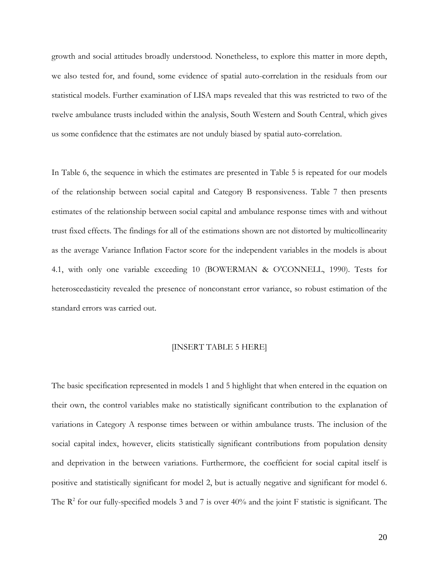growth and social attitudes broadly understood. Nonetheless, to explore this matter in more depth, we also tested for, and found, some evidence of spatial auto-correlation in the residuals from our statistical models. Further examination of LISA maps revealed that this was restricted to two of the twelve ambulance trusts included within the analysis, South Western and South Central, which gives us some confidence that the estimates are not unduly biased by spatial auto-correlation.

In Table 6, the sequence in which the estimates are presented in Table 5 is repeated for our models of the relationship between social capital and Category B responsiveness. Table 7 then presents estimates of the relationship between social capital and ambulance response times with and without trust fixed effects. The findings for all of the estimations shown are not distorted by multicollinearity as the average Variance Inflation Factor score for the independent variables in the models is about 4.1, with only one variable exceeding 10 (BOWERMAN & O'CONNELL, 1990). Tests for heteroscedasticity revealed the presence of nonconstant error variance, so robust estimation of the standard errors was carried out.

### [INSERT TABLE 5 HERE]

The basic specification represented in models 1 and 5 highlight that when entered in the equation on their own, the control variables make no statistically significant contribution to the explanation of variations in Category A response times between or within ambulance trusts. The inclusion of the social capital index, however, elicits statistically significant contributions from population density and deprivation in the between variations. Furthermore, the coefficient for social capital itself is positive and statistically significant for model 2, but is actually negative and significant for model 6. The  $\mathbb{R}^2$  for our fully-specified models 3 and 7 is over 40% and the joint F statistic is significant. The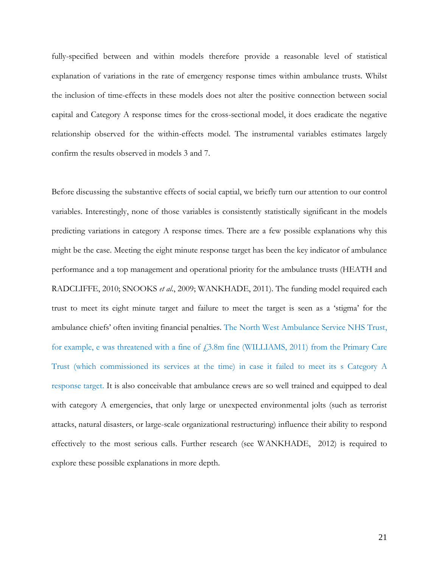fully-specified between and within models therefore provide a reasonable level of statistical explanation of variations in the rate of emergency response times within ambulance trusts. Whilst the inclusion of time-effects in these models does not alter the positive connection between social capital and Category A response times for the cross-sectional model, it does eradicate the negative relationship observed for the within-effects model. The instrumental variables estimates largely confirm the results observed in models 3 and 7.

Before discussing the substantive effects of social captial, we briefly turn our attention to our control variables. Interestingly, none of those variables is consistently statistically significant in the models predicting variations in category A response times. There are a few possible explanations why this might be the case. Meeting the eight minute response target has been the key indicator of ambulance performance and a top management and operational priority for the ambulance trusts (HEATH and RADCLIFFE, 2010; SNOOKS *et al*., 2009; WANKHADE, 2011). The funding model required each trust to meet its eight minute target and failure to meet the target is seen as a 'stigma' for the ambulance chiefs' often inviting financial penalties. The North West Ambulance Service NHS Trust, for example, e was threatened with a fine of  $f$ 3.8m fine (WILLIAMS, 2011) from the Primary Care Trust (which commissioned its services at the time) in case it failed to meet its s Category A response target. It is also conceivable that ambulance crews are so well trained and equipped to deal with category A emergencies, that only large or unexpected environmental jolts (such as terrorist attacks, natural disasters, or large-scale organizational restructuring) influence their ability to respond effectively to the most serious calls. Further research (see WANKHADE, 2012) is required to explore these possible explanations in more depth.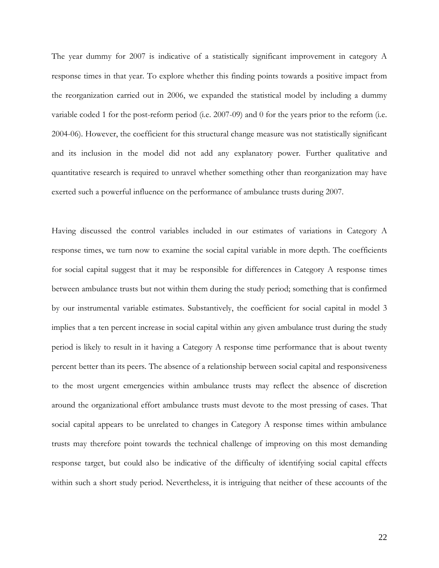The year dummy for 2007 is indicative of a statistically significant improvement in category A response times in that year. To explore whether this finding points towards a positive impact from the reorganization carried out in 2006, we expanded the statistical model by including a dummy variable coded 1 for the post-reform period (i.e. 2007-09) and 0 for the years prior to the reform (i.e. 2004-06). However, the coefficient for this structural change measure was not statistically significant and its inclusion in the model did not add any explanatory power. Further qualitative and quantitative research is required to unravel whether something other than reorganization may have exerted such a powerful influence on the performance of ambulance trusts during 2007.

Having discussed the control variables included in our estimates of variations in Category A response times, we turn now to examine the social capital variable in more depth. The coefficients for social capital suggest that it may be responsible for differences in Category A response times between ambulance trusts but not within them during the study period; something that is confirmed by our instrumental variable estimates. Substantively, the coefficient for social capital in model 3 implies that a ten percent increase in social capital within any given ambulance trust during the study period is likely to result in it having a Category A response time performance that is about twenty percent better than its peers. The absence of a relationship between social capital and responsiveness to the most urgent emergencies within ambulance trusts may reflect the absence of discretion around the organizational effort ambulance trusts must devote to the most pressing of cases. That social capital appears to be unrelated to changes in Category A response times within ambulance trusts may therefore point towards the technical challenge of improving on this most demanding response target, but could also be indicative of the difficulty of identifying social capital effects within such a short study period. Nevertheless, it is intriguing that neither of these accounts of the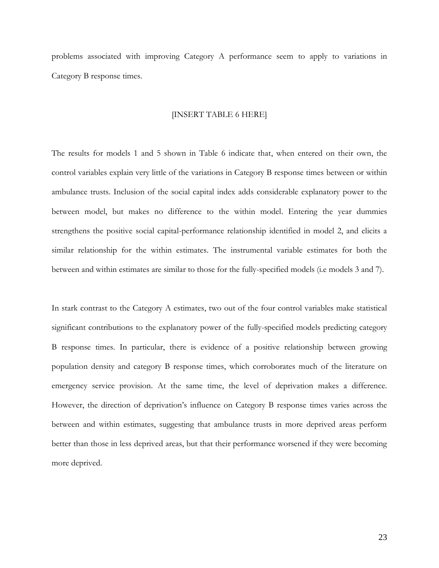problems associated with improving Category A performance seem to apply to variations in Category B response times.

## [INSERT TABLE 6 HERE]

The results for models 1 and 5 shown in Table 6 indicate that, when entered on their own, the control variables explain very little of the variations in Category B response times between or within ambulance trusts. Inclusion of the social capital index adds considerable explanatory power to the between model, but makes no difference to the within model. Entering the year dummies strengthens the positive social capital-performance relationship identified in model 2, and elicits a similar relationship for the within estimates. The instrumental variable estimates for both the between and within estimates are similar to those for the fully-specified models (i.e models 3 and 7).

In stark contrast to the Category A estimates, two out of the four control variables make statistical significant contributions to the explanatory power of the fully-specified models predicting category B response times. In particular, there is evidence of a positive relationship between growing population density and category B response times, which corroborates much of the literature on emergency service provision. At the same time, the level of deprivation makes a difference. However, the direction of deprivation's influence on Category B response times varies across the between and within estimates, suggesting that ambulance trusts in more deprived areas perform better than those in less deprived areas, but that their performance worsened if they were becoming more deprived.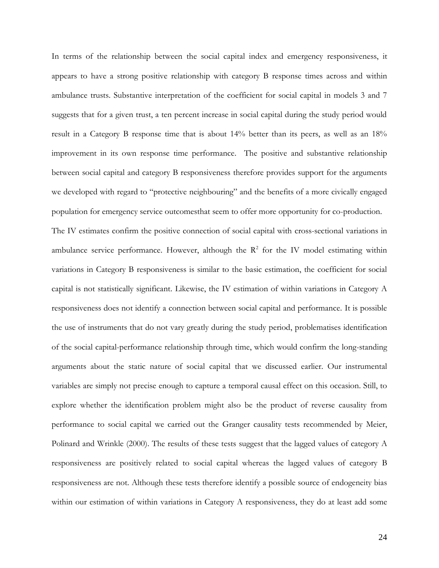In terms of the relationship between the social capital index and emergency responsiveness, it appears to have a strong positive relationship with category B response times across and within ambulance trusts. Substantive interpretation of the coefficient for social capital in models 3 and 7 suggests that for a given trust, a ten percent increase in social capital during the study period would result in a Category B response time that is about 14% better than its peers, as well as an 18% improvement in its own response time performance. The positive and substantive relationship between social capital and category B responsiveness therefore provides support for the arguments we developed with regard to "protective neighbouring" and the benefits of a more civically engaged population for emergency service outcomesthat seem to offer more opportunity for co-production.

The IV estimates confirm the positive connection of social capital with cross-sectional variations in ambulance service performance. However, although the  $R^2$  for the IV model estimating within variations in Category B responsiveness is similar to the basic estimation, the coefficient for social capital is not statistically significant. Likewise, the IV estimation of within variations in Category A responsiveness does not identify a connection between social capital and performance. It is possible the use of instruments that do not vary greatly during the study period, problematises identification of the social capital-performance relationship through time, which would confirm the long-standing arguments about the static nature of social capital that we discussed earlier. Our instrumental variables are simply not precise enough to capture a temporal causal effect on this occasion. Still, to explore whether the identification problem might also be the product of reverse causality from performance to social capital we carried out the Granger causality tests recommended by Meier, Polinard and Wrinkle (2000). The results of these tests suggest that the lagged values of category A responsiveness are positively related to social capital whereas the lagged values of category B responsiveness are not. Although these tests therefore identify a possible source of endogeneity bias within our estimation of within variations in Category A responsiveness, they do at least add some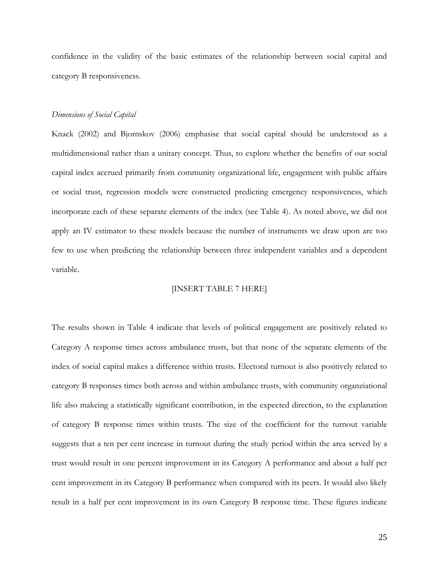confidence in the validity of the basic estimates of the relationship between social capital and category B responsiveness.

#### *Dimensions of Social Capital*

Knack (2002) and Bjornskov (2006) emphasise that social capital should be understood as a multidimensional rather than a unitary concept. Thus, to explore whether the benefits of our social capital index accrued primarily from community organizational life, engagement with public affairs or social trust, regression models were constructed predicting emergency responsiveness, which incorporate each of these separate elements of the index (see Table 4). As noted above, we did not apply an IV estimator to these models because the number of instruments we draw upon are too few to use when predicting the relationship between three independent variables and a dependent variable.

## [INSERT TABLE 7 HERE]

The results shown in Table 4 indicate that levels of political engagement are positively related to Category A response times across ambulance trusts, but that none of the separate elements of the index of social capital makes a difference within trusts. Electoral turnout is also positively related to category B responses times both across and within ambulance trusts, with community organziational life also makeing a statistically significant contribution, in the expected direction, to the explanation of category B response times within trusts. The size of the coefficient for the turnout variable suggests that a ten per cent increase in turnout during the study period within the area served by a trust would result in one percent improvement in its Category A performance and about a half per cent improvement in its Category B performance when compared with its peers. It would also likely result in a half per cent improvement in its own Category B response time. These figures indicate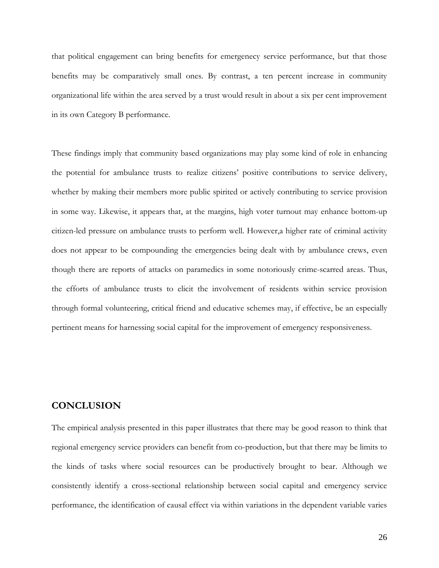that political engagement can bring benefits for emergenecy service performance, but that those benefits may be comparatively small ones. By contrast, a ten percent increase in community organizational life within the area served by a trust would result in about a six per cent improvement in its own Category B performance.

These findings imply that community based organizations may play some kind of role in enhancing the potential for ambulance trusts to realize citizens' positive contributions to service delivery, whether by making their members more public spirited or actively contributing to service provision in some way. Likewise, it appears that, at the margins, high voter turnout may enhance bottom-up citizen-led pressure on ambulance trusts to perform well. However,a higher rate of criminal activity does not appear to be compounding the emergencies being dealt with by ambulance crews, even though there are reports of attacks on paramedics in some notoriously crime-scarred areas. Thus, the efforts of ambulance trusts to elicit the involvement of residents within service provision through formal volunteering, critical friend and educative schemes may, if effective, be an especially pertinent means for harnessing social capital for the improvement of emergency responsiveness.

## **CONCLUSION**

The empirical analysis presented in this paper illustrates that there may be good reason to think that regional emergency service providers can benefit from co-production, but that there may be limits to the kinds of tasks where social resources can be productively brought to bear. Although we consistently identify a cross-sectional relationship between social capital and emergency service performance, the identification of causal effect via within variations in the dependent variable varies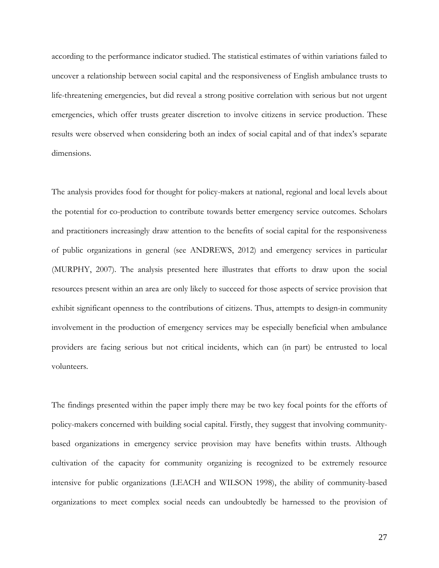according to the performance indicator studied. The statistical estimates of within variations failed to uncover a relationship between social capital and the responsiveness of English ambulance trusts to life-threatening emergencies, but did reveal a strong positive correlation with serious but not urgent emergencies, which offer trusts greater discretion to involve citizens in service production. These results were observed when considering both an index of social capital and of that index's separate dimensions.

The analysis provides food for thought for policy-makers at national, regional and local levels about the potential for co-production to contribute towards better emergency service outcomes. Scholars and practitioners increasingly draw attention to the benefits of social capital for the responsiveness of public organizations in general (see ANDREWS, 2012) and emergency services in particular (MURPHY, 2007). The analysis presented here illustrates that efforts to draw upon the social resources present within an area are only likely to succeed for those aspects of service provision that exhibit significant openness to the contributions of citizens. Thus, attempts to design-in community involvement in the production of emergency services may be especially beneficial when ambulance providers are facing serious but not critical incidents, which can (in part) be entrusted to local volunteers.

The findings presented within the paper imply there may be two key focal points for the efforts of policy-makers concerned with building social capital. Firstly, they suggest that involving communitybased organizations in emergency service provision may have benefits within trusts. Although cultivation of the capacity for community organizing is recognized to be extremely resource intensive for public organizations (LEACH and WILSON 1998), the ability of community-based organizations to meet complex social needs can undoubtedly be harnessed to the provision of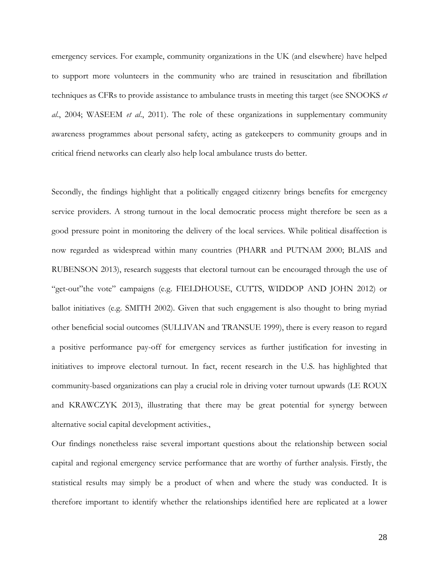emergency services. For example, community organizations in the UK (and elsewhere) have helped to support more volunteers in the community who are trained in resuscitation and fibrillation techniques as CFRs to provide assistance to ambulance trusts in meeting this target (see SNOOKS *et al*., 2004; WASEEM *et al*., 2011). The role of these organizations in supplementary community awareness programmes about personal safety, acting as gatekeepers to community groups and in critical friend networks can clearly also help local ambulance trusts do better.

Secondly, the findings highlight that a politically engaged citizenry brings benefits for emergency service providers. A strong turnout in the local democratic process might therefore be seen as a good pressure point in monitoring the delivery of the local services. While political disaffection is now regarded as widespread within many countries (PHARR and PUTNAM 2000; BLAIS and RUBENSON 2013), research suggests that electoral turnout can be encouraged through the use of "get-out"the vote" campaigns (e.g. FIELDHOUSE, CUTTS, WIDDOP AND JOHN 2012) or ballot initiatives (e.g. SMITH 2002). Given that such engagement is also thought to bring myriad other beneficial social outcomes (SULLIVAN and TRANSUE 1999), there is every reason to regard a positive performance pay-off for emergency services as further justification for investing in initiatives to improve electoral turnout. In fact, recent research in the U.S. has highlighted that community-based organizations can play a crucial role in driving voter turnout upwards (LE ROUX and KRAWCZYK 2013), illustrating that there may be great potential for synergy between alternative social capital development activities.,

Our findings nonetheless raise several important questions about the relationship between social capital and regional emergency service performance that are worthy of further analysis. Firstly, the statistical results may simply be a product of when and where the study was conducted. It is therefore important to identify whether the relationships identified here are replicated at a lower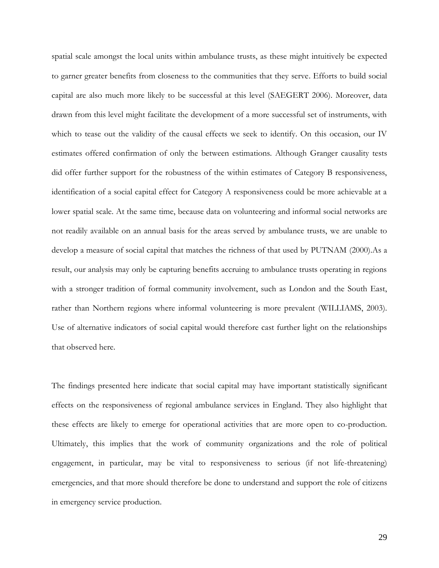spatial scale amongst the local units within ambulance trusts, as these might intuitively be expected to garner greater benefits from closeness to the communities that they serve. Efforts to build social capital are also much more likely to be successful at this level (SAEGERT 2006). Moreover, data drawn from this level might facilitate the development of a more successful set of instruments, with which to tease out the validity of the causal effects we seek to identify. On this occasion, our IV estimates offered confirmation of only the between estimations. Although Granger causality tests did offer further support for the robustness of the within estimates of Category B responsiveness, identification of a social capital effect for Category A responsiveness could be more achievable at a lower spatial scale. At the same time, because data on volunteering and informal social networks are not readily available on an annual basis for the areas served by ambulance trusts, we are unable to develop a measure of social capital that matches the richness of that used by PUTNAM (2000).As a result, our analysis may only be capturing benefits accruing to ambulance trusts operating in regions with a stronger tradition of formal community involvement, such as London and the South East, rather than Northern regions where informal volunteering is more prevalent (WILLIAMS, 2003). Use of alternative indicators of social capital would therefore cast further light on the relationships that observed here.

The findings presented here indicate that social capital may have important statistically significant effects on the responsiveness of regional ambulance services in England. They also highlight that these effects are likely to emerge for operational activities that are more open to co-production. Ultimately, this implies that the work of community organizations and the role of political engagement, in particular, may be vital to responsiveness to serious (if not life-threatening) emergencies, and that more should therefore be done to understand and support the role of citizens in emergency service production.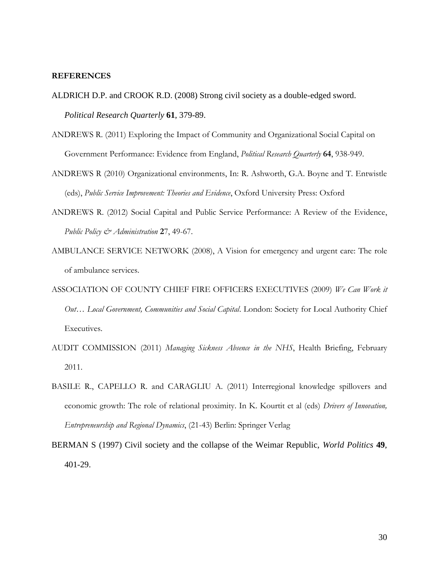### **REFERENCES**

- ALDRICH D.P. and CROOK R.D. (2008) Strong civil society as a double-edged sword. *Political Research Quarterly* **61**, 379-89.
- ANDREWS R. (2011) Exploring the Impact of Community and Organizational Social Capital on Government Performance: Evidence from England, *Political Research Quarterly* **64**, 938-949.
- ANDREWS R (2010) Organizational environments, In: R. Ashworth, G.A. Boyne and T. Entwistle (eds), *Public Service Improvement: Theories and Evidence*, Oxford University Press: Oxford
- ANDREWS R. (2012) Social Capital and Public Service Performance: A Review of the Evidence, *Public Policy & Administration* **2**7, 49-67.
- AMBULANCE SERVICE NETWORK (2008), A Vision for emergency and urgent care: The role of ambulance services.
- ASSOCIATION OF COUNTY CHIEF FIRE OFFICERS EXECUTIVES (2009) *We Can Work it Out… Local Government, Communities and Social Capital*. London: Society for Local Authority Chief Executives.
- AUDIT COMMISSION (2011) *Managing Sickness Absence in the NHS*, Health Briefing, February 2011.
- BASILE R., CAPELLO R. and CARAGLIU A. (2011) Interregional knowledge spillovers and economic growth: The role of relational proximity. In K. Kourtit et al (eds) *Drivers of Innovation, Entrepreneurship and Regional Dynamics*, (21-43) Berlin: Springer Verlag
- BERMAN S (1997) Civil society and the collapse of the Weimar Republic, *World Politics* **49**, 401-29.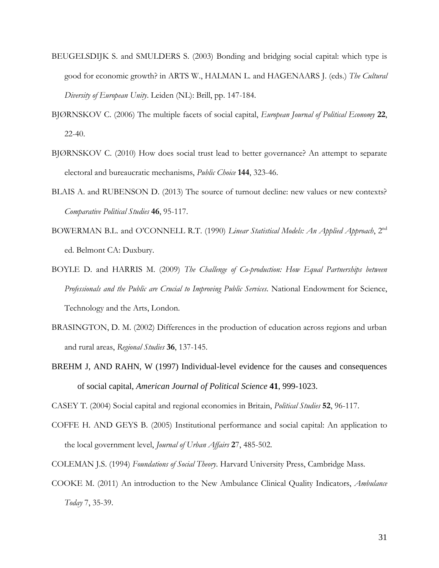- BEUGELSDIJK S. and SMULDERS S. (2003) Bonding and bridging social capital: which type is good for economic growth? in ARTS W., HALMAN L. and HAGENAARS J. (eds.) *The Cultural Diversity of European Unity*. Leiden (NL): Brill, pp. 147-184.
- BJØRNSKOV C. (2006) The multiple facets of social capital, *European Journal of Political Economy* **22**, 22-40.
- BJØRNSKOV C. (2010) How does social trust lead to better governance? An attempt to separate electoral and bureaucratic mechanisms, *Public Choice* **144**, 323-46.
- BLAIS A. and RUBENSON D. (2013) The source of turnout decline: new values or new contexts? *Comparative Political Studies* **46**, 95-117.
- BOWERMAN B.L. and O'CONNELL R.T. (1990) *Linear Statistical Models: An Applied Approach*, 2nd ed. Belmont CA: Duxbury.
- BOYLE D. and HARRIS M. (2009) *The Challenge of Co-production: How Equal Partnerships between Professionals and the Public are Crucial to Improving Public Services*. National Endowment for Science, Technology and the Arts, London.
- BRASINGTON, D. M. (2002) Differences in the production of education across regions and urban and rural areas, *Regional Studies* **36**, 137-145.
- BREHM J, AND RAHN, W (1997) Individual-level evidence for the causes and consequences of social capital, *American Journal of Political Science* **41**, 999-1023.

CASEY T. (2004) Social capital and regional economies in Britain, *Political Studies* **52**, 96-117.

- COFFE H. AND GEYS B. (2005) Institutional performance and social capital: An application to the local government level, *Journal of Urban Affairs* **2**7, 485-502.
- COLEMAN J.S. (1994) *Foundations of Social Theory*. Harvard University Press, Cambridge Mass.
- COOKE M. (2011) An introduction to the New Ambulance Clinical Quality Indicators, *Ambulance Today* 7, 35-39.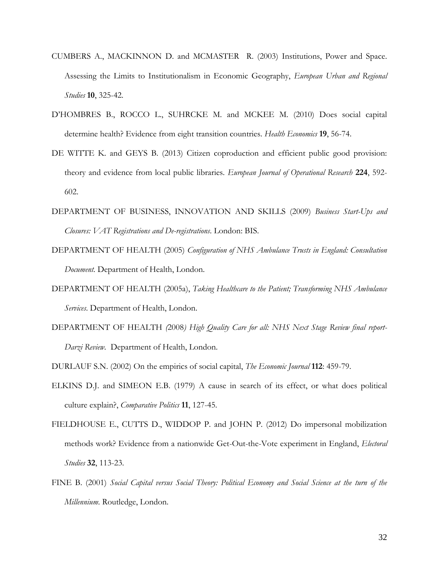- CUMBERS A., MACKINNON D. and MCMASTER R. (2003) Institutions, Power and Space. Assessing the Limits to Institutionalism in Economic Geography, *European Urban and Regional Studies* **10**, 325-42.
- D'HOMBRES B., ROCCO L., SUHRCKE M. and MCKEE M. (2010) Does social capital determine health? Evidence from eight transition countries. *Health Economics* **19**, 56-74.
- DE WITTE K. and GEYS B. (2013) Citizen coproduction and efficient public good provision: theory and evidence from local public libraries. *European Journal of Operational Research* **224**, 592- 602.
- DEPARTMENT OF BUSINESS, INNOVATION AND SKILLS (2009) *Business Start-Ups and Closures: VAT Registrations and De-registrations*. London: BIS.
- DEPARTMENT OF HEALTH (2005) *Configuration of NHS Ambulance Trusts in England: Consultation Document.* Department of Health, London.
- DEPARTMENT OF HEALTH (2005a), *Taking Healthcare to the Patient; Transforming NHS Ambulance Services*. Department of Health, London.
- DEPARTMENT OF HEALTH *(*2008*) High Quality Care for all: NHS Next Stage Review final report-Darzi Review.* Department of Health, London.

DURLAUF S.N. (2002) On the empirics of social capital, *The Economic Journal* **112**: 459-79.

- ELKINS D.J. and SIMEON E.B. (1979) A cause in search of its effect, or what does political culture explain?, *Comparative Politics* **11**, 127-45.
- FIELDHOUSE E., CUTTS D., WIDDOP P. and JOHN P. (2012) Do impersonal mobilization methods work? Evidence from a nationwide Get-Out-the-Vote experiment in England, *Electoral Studies* **32**, 113-23.
- FINE B. (2001) *Social Capital versus Social Theory: Political Economy and Social Science at the turn of the Millennium.* Routledge, London.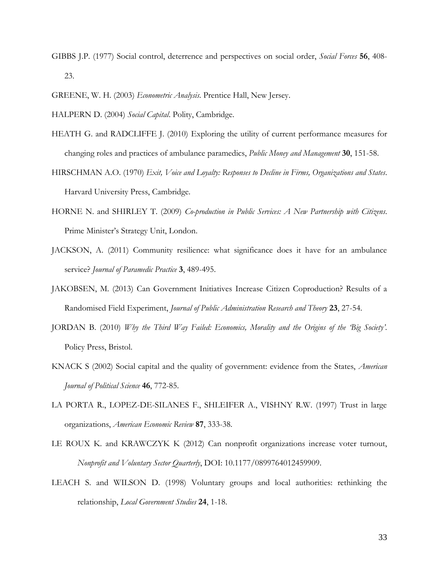- GIBBS J.P. (1977) Social control, deterrence and perspectives on social order, *Social Forces* **56**, 408- 23.
- GREENE, W. H. (2003) *Econometric Analysis*. Prentice Hall, New Jersey.

HALPERN D. (2004) *Social Capital*. Polity, Cambridge.

- HEATH G. and RADCLIFFE J. (2010) Exploring the utility of current performance measures for changing roles and practices of ambulance paramedics, *Public Money and Management* **30**, 151-58.
- HIRSCHMAN A.O. (1970) *Exit, Voice and Loyalty: Responses to Decline in Firms, Organizations and States*. Harvard University Press, Cambridge.
- HORNE N. and SHIRLEY T. (2009) *Co-production in Public Services: A New Partnership with Citizens*. Prime Minister's Strategy Unit, London.
- JACKSON, A. (2011) Community resilience: what significance does it have for an ambulance service? *Journal of Paramedic Practice* **3**, 489-495.
- JAKOBSEN, M. (2013) Can Government Initiatives Increase Citizen Coproduction? Results of a Randomised Field Experiment, *Journal of Public Administration Research and Theory* **23**, 27-54.
- JORDAN B. (2010) *Why the Third Way Failed: Economics, Morality and the Origins of the 'Big Society'*. Policy Press, Bristol.
- KNACK S (2002) Social capital and the quality of government: evidence from the States, *American Journal of Political Science* **46**, 772-85.
- LA PORTA R., LOPEZ-DE-SILANES F., SHLEIFER A., VISHNY R.W. (1997) Trust in large organizations, *American Economic Review* **87**, 333-38.
- LE ROUX K. and KRAWCZYK K (2012) Can nonprofit organizations increase voter turnout, *Nonprofit and Voluntary Sector Quarterly*, DOI: 10.1177/0899764012459909.
- LEACH S. and WILSON D. (1998) Voluntary groups and local authorities: rethinking the relationship, *Local Government Studies* **24**, 1-18.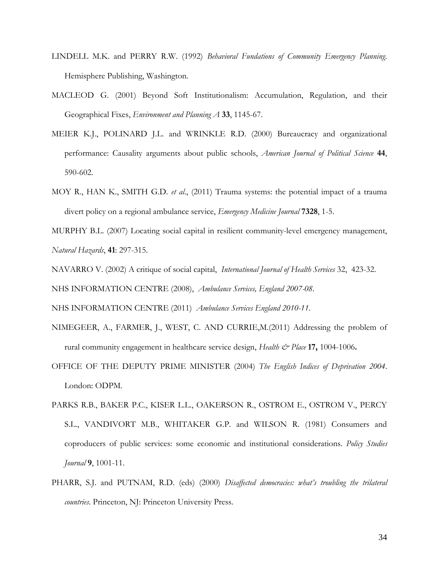- LINDELL M.K. and PERRY R.W. (1992) *Behavioral Fundations of Community Emergency Planning*. Hemisphere Publishing, Washington.
- MACLEOD G. (2001) Beyond Soft Institutionalism: Accumulation, Regulation, and their Geographical Fixes, *Environment and Planning A* **33**, 1145-67.
- MEIER K.J., POLINARD J.L. and WRINKLE R.D. (2000) Bureaucracy and organizational performance: Causality arguments about public schools, *American Journal of Political Science* **44**, 590-602.
- MOY R., HAN K., SMITH G.D. *et al*., (2011) Trauma systems: the potential impact of a trauma divert policy on a regional ambulance service, *Emergency Medicine Journal* **7328**, 1-5.

MURPHY B.L. (2007) Locating social capital in resilient community-level emergency management, *Natural Hazards*, **41**: 297-315.

NAVARRO V. (2002) A critique of social capital, *International Journal of Health Services* 32, 423-32. NHS INFORMATION CENTRE (2008), *Ambulance Services, England 2007-08*.

NHS INFORMATION CENTRE (2011) *Ambulance Services England 2010-11*.

- NIMEGEER, A., FARMER, J., WEST, C. AND CURRIE,M.(2011) Addressing the problem of rural community engagement in healthcare service design, *Health & Place* **17,** 1004-1006**.**
- OFFICE OF THE DEPUTY PRIME MINISTER (2004) *The English Indices of Deprivation 2004*. London: ODPM.
- PARKS R.B., BAKER P.C., KISER L.L., OAKERSON R., OSTROM E., OSTROM V., PERCY S.L., VANDIVORT M.B., WHITAKER G.P. and WILSON R. (1981) Consumers and coproducers of public services: some economic and institutional considerations. *Policy Studies Journal* **9**, 1001-11.
- PHARR, S.J. and PUTNAM, R.D. (eds) (2000) *Disaffected democracies: what's troubling the trilateral countries*. Princeton, NJ: Princeton University Press.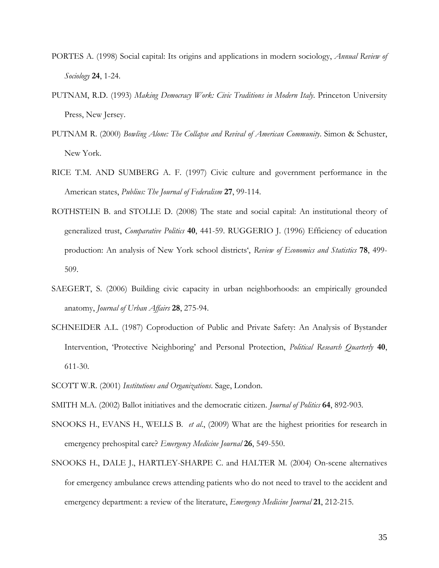- PORTES A. (1998) Social capital: Its origins and applications in modern sociology, *Annual Review of Sociology* **24**, 1-24.
- PUTNAM, R.D. (1993) *Making Democracy Work: Civic Traditions in Modern Italy*. Princeton University Press, New Jersey.
- PUTNAM R. (2000) *Bowling Alone: The Collapse and Revival of American Community*. Simon & Schuster, New York.
- RICE T.M. AND SUMBERG A. F. (1997) Civic culture and government performance in the American states, *Publius: The Journal of Federalism* **27**, 99-114.
- ROTHSTEIN B. and STOLLE D. (2008) The state and social capital: An institutional theory of generalized trust, *Comparative Politics* **40**, 441-59. RUGGERIO J. (1996) Efficiency of education production: An analysis of New York school districts', *Review of Economics and Statistics* **78**, 499- 509.
- SAEGERT, S. (2006) Building civic capacity in urban neighborhoods: an empirically grounded anatomy, *Journal of Urban Affairs* **28**, 275-94.
- SCHNEIDER A.L. (1987) Coproduction of Public and Private Safety: An Analysis of Bystander Intervention, 'Protective Neighboring' and Personal Protection, *Political Research Quarterly* **40**, 611-30.
- SCOTT W.R. (2001) *Institutions and Organizations*. Sage, London.
- SMITH M.A. (2002) Ballot initiatives and the democratic citizen. *Journal of Politics* **64**, 892-903.
- SNOOKS H., EVANS H., WELLS B. *et al*., (2009) What are the highest priorities for research in emergency prehospital care? *Emergency Medicine Journal* **26**, 549-550.
- SNOOKS H., DALE J., HARTLEY-SHARPE C. and HALTER M. (2004) On-scene alternatives for emergency ambulance crews attending patients who do not need to travel to the accident and emergency department: a review of the literature, *Emergency Medicine Journal* **21**, 212-215.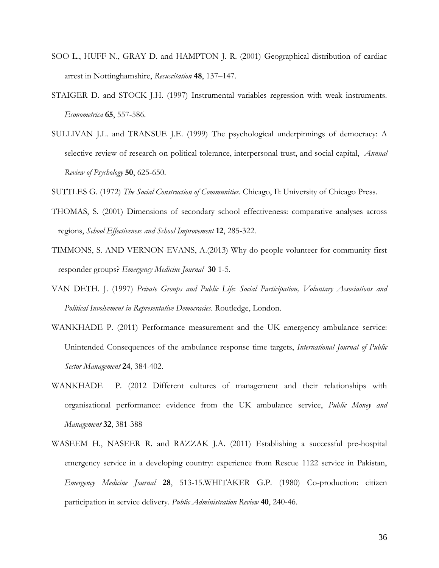- SOO L., HUFF N., GRAY D. and HAMPTON J. R. (2001) Geographical distribution of cardiac arrest in Nottinghamshire, *Resuscitation* **48**, 137–147.
- STAIGER D. and STOCK J.H. (1997) Instrumental variables regression with weak instruments. *Econometrica* **65**, 557-586.
- SULLIVAN J.L. and TRANSUE J.E. (1999) The psychological underpinnings of democracy: A selective review of research on political tolerance, interpersonal trust, and social capital, *Annual Review of Psychology* **50**, 625-650.
- SUTTLES G. (1972) *The Social Construction of Communities*. Chicago, Il: University of Chicago Press.
- THOMAS, S. (2001) Dimensions of secondary school effectiveness: comparative analyses across regions, *School Effectiveness and School Improvement* **12**, 285-322.
- TIMMONS, S. AND VERNON-EVANS, A.(2013) Why do people volunteer for community first responder groups? *Emergency Medicine Journal* **30** 1-5.
- VAN DETH. J. (1997) *Private Groups and Public Life*: *Social Participation, Voluntary Associations and Political Involvement in Representative Democracies*. Routledge, London.
- WANKHADE P. (2011) Performance measurement and the UK emergency ambulance service: Unintended Consequences of the ambulance response time targets, *International Journal of Public Sector Management* **24**, 384-402.
- WANKHADE P. (2012 Different cultures of management and their relationships with organisational performance: evidence from the UK ambulance service, *Public Money and Management* **32**, 381-388
- WASEEM H., NASEER R. and RAZZAK J.A. (2011) Establishing a successful pre-hospital emergency service in a developing country: experience from Rescue 1122 service in Pakistan, *Emergency Medicine Journal* **28**, 513-15.WHITAKER G.P. (1980) Co-production: citizen participation in service delivery. *Public Administration Review* **40**, 240-46.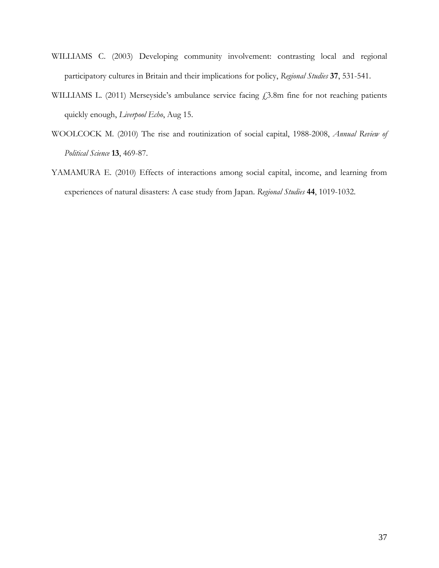- WILLIAMS C. (2003) Developing community involvement: contrasting local and regional participatory cultures in Britain and their implications for policy, *Regional Studies* **37**, 531-541.
- WILLIAMS L. (2011) Merseyside's ambulance service facing  $f$ , 3.8m fine for not reaching patients quickly enough, *Liverpool Echo*, [Aug 15.](http://www.liverpoolecho.co.uk/liverpool-news/local-news/2011/08/15/)
- WOOLCOCK M. (2010) The rise and routinization of social capital, 1988-2008, *Annual Review of Political Science* **13**, 469-87.
- YAMAMURA E. (2010) Effects of interactions among social capital, income, and learning from experiences of natural disasters: A case study from Japan. *Regional Studies* **44**, 1019-1032.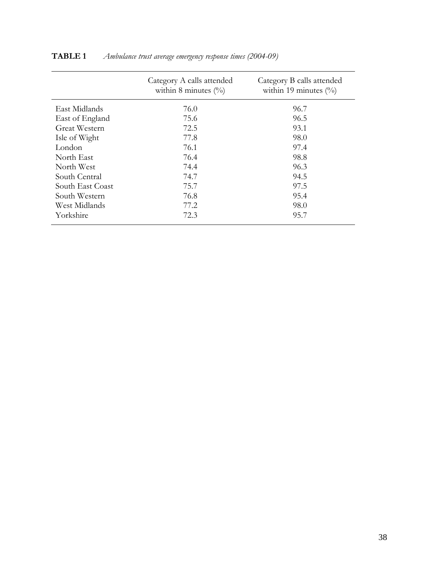|                  | Category A calls attended<br>within 8 minutes $(\%)$ | Category B calls attended<br>within 19 minutes $(\%)$ |  |  |  |
|------------------|------------------------------------------------------|-------------------------------------------------------|--|--|--|
| East Midlands    | 76.0                                                 | 96.7                                                  |  |  |  |
| East of England  | 75.6                                                 | 96.5                                                  |  |  |  |
| Great Western    | 72.5                                                 | 93.1                                                  |  |  |  |
| Isle of Wight    | 77.8                                                 | 98.0                                                  |  |  |  |
| London           | 76.1                                                 | 97.4                                                  |  |  |  |
| North East       | 76.4                                                 | 98.8                                                  |  |  |  |
| North West       | 74.4                                                 | 96.3                                                  |  |  |  |
| South Central    | 74.7                                                 | 94.5                                                  |  |  |  |
| South East Coast | 75.7                                                 | 97.5                                                  |  |  |  |
| South Western    | 76.8                                                 | 95.4                                                  |  |  |  |
| West Midlands    | 77.2                                                 | 98.0                                                  |  |  |  |
| Yorkshire        | 72.3                                                 | 95.7                                                  |  |  |  |

# **TABLE 1** *Ambulance trust average emergency response times (2004-09)*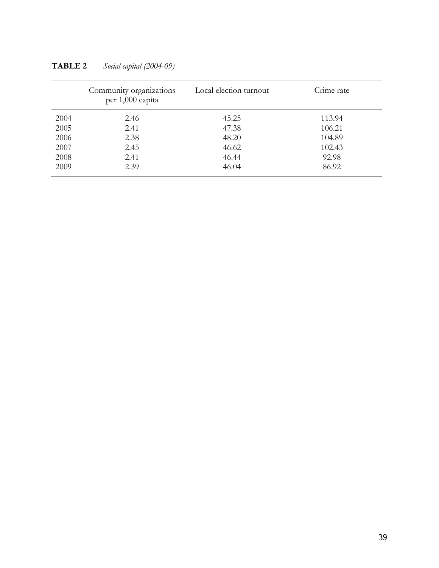|      | Community organizations<br>per 1,000 capita | Local election turnout | Crime rate |
|------|---------------------------------------------|------------------------|------------|
| 2004 | 2.46                                        | 45.25                  | 113.94     |
| 2005 | 2.41                                        | 47.38                  | 106.21     |
| 2006 | 2.38                                        | 48.20                  | 104.89     |
| 2007 | 2.45                                        | 46.62                  | 102.43     |
| 2008 | 2.41                                        | 46.44                  | 92.98      |
| 2009 | 2.39                                        | 46.04                  | 86.92      |

**TABLE 2** *Social capital (2004-09)*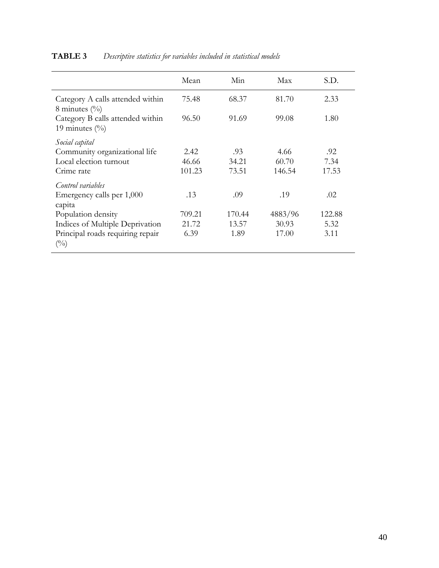|                                                             | Mean   | Min    | Max     | S.D.   |
|-------------------------------------------------------------|--------|--------|---------|--------|
| Category A calls attended within<br>8 minutes $\frac{0}{0}$ | 75.48  | 68.37  | 81.70   | 2.33   |
| Category B calls attended within<br>19 minutes $(\%)$       | 96.50  | 91.69  | 99.08   | 1.80   |
| Social capital                                              |        |        |         |        |
| Community organizational life                               | 2.42   | .93    | 4.66    | .92    |
| Local election turnout                                      | 46.66  | 34.21  | 60.70   | 7.34   |
| Crime rate                                                  | 101.23 | 73.51  | 146.54  | 17.53  |
| Control variables                                           |        |        |         |        |
| Emergency calls per 1,000                                   | .13    | .09    | .19     | .02    |
| capita                                                      |        |        |         |        |
| Population density                                          | 709.21 | 170.44 | 4883/96 | 122.88 |
| Indices of Multiple Deprivation                             | 21.72  | 13.57  | 30.93   | 5.32   |
| Principal roads requiring repair<br>$\binom{0}{0}$          | 6.39   | 1.89   | 17.00   | 3.11   |

# **TABLE 3** *Descriptive statistics for variables included in statistical models*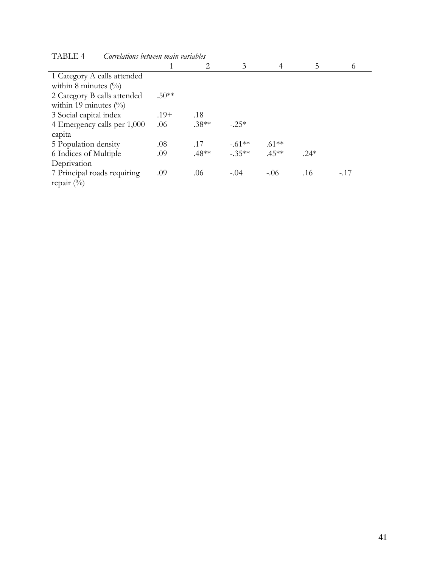|                             |         |         | 3        | 4        | 5      | 6      |
|-----------------------------|---------|---------|----------|----------|--------|--------|
| 1 Category A calls attended |         |         |          |          |        |        |
| within 8 minutes $(\%)$     |         |         |          |          |        |        |
| 2 Category B calls attended | $.50**$ |         |          |          |        |        |
| within 19 minutes $(\%$     |         |         |          |          |        |        |
| 3 Social capital index      | $.19+$  | .18     |          |          |        |        |
| 4 Emergency calls per 1,000 | .06     | $.38**$ | $-.25*$  |          |        |        |
| capita                      |         |         |          |          |        |        |
| 5 Population density        | .08     | .17     | $-.61**$ | $.61***$ |        |        |
| 6 Indices of Multiple       | .09     | $.48**$ | $-35**$  | $.45***$ | $.24*$ |        |
| Deprivation                 |         |         |          |          |        |        |
| 7 Principal roads requiring | .09     | .06     | $-.04$   | $-.06$   | .16    | $-.17$ |
| repair $(\%)$               |         |         |          |          |        |        |

TABLE 4 *Correlations between main variables*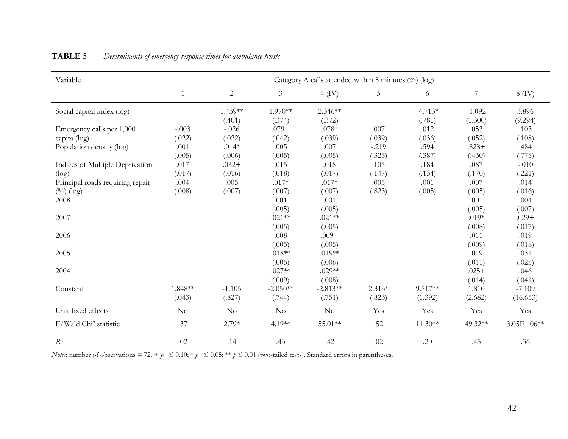| Variable                          | Category A calls attended within 8 minutes $(\%)$ (log) |            |                |            |          |           |                |                |
|-----------------------------------|---------------------------------------------------------|------------|----------------|------------|----------|-----------|----------------|----------------|
|                                   | $\mathbf{1}$                                            | $\sqrt{2}$ | $\mathfrak{Z}$ | $4$ (IV)   | 5        | 6         | $\overline{7}$ | $8$ (IV)       |
| Social capital index (log)        |                                                         | $1.439**$  | $1.970**$      | $2.346**$  |          | $-4.713*$ | $-1.092$       | 3.896          |
|                                   |                                                         | (.401)     | (.374)         | (.372)     |          | (.781)    | (1.300)        | (9.294)        |
| Emergency calls per 1,000         | $-.003$                                                 | $-.026$    | $.079+$        | $.078*$    | .007     | .012      | .053           | .103           |
| capita (log)                      | (.022)                                                  | (.022)     | (.042)         | (.039)     | (.039)   | (.036)    | (.052)         | (.108)         |
| Population density (log)          | .001                                                    | $.014*$    | .005           | .007       | $-.219$  | .594      | $.828+$        | .484           |
|                                   | (.005)                                                  | (.006)     | (.005)         | (.005)     | (.325)   | (.387)    | (.430)         | (.775)         |
| Indices of Multiple Deprivation   | .017                                                    | $.032+$    | .015           | .018       | .105     | .184      | .087           | $-.010$        |
| (log)                             | (.017)                                                  | (.016)     | (.018)         | (.017)     | (.147)   | (.134)    | (.170)         | (.221)         |
| Principal roads requiring repair  | .004                                                    | .005       | $.017*$        | $.017*$    | .005     | .001      | .007           | .014           |
| $(^{0}/_{0})$ (log)               | (.008)                                                  | (.007)     | (.007)         | (.007)     | (.823)   | (.005)    | (.005)         | (.016)         |
| 2008                              |                                                         |            | .001           | .001       |          |           | .001           | .004           |
|                                   |                                                         |            | (.005)         | (.005)     |          |           | (.005)         | (.007)         |
| 2007                              |                                                         |            | $.021**$       | $.021**$   |          |           | $.019*$        | $.029+$        |
|                                   |                                                         |            | (.005)         | (.005)     |          |           | (.008)         | (.017)         |
| 2006                              |                                                         |            | .008           | $.009+$    |          |           | .011           | .019           |
|                                   |                                                         |            | (.005)         | (.005)     |          |           | (.009)         | (.018)         |
| 2005                              |                                                         |            | $.018**$       | $.019**$   |          |           | .019           | .031           |
|                                   |                                                         |            | (.005)         | (.006)     |          |           | (.011)         | (.025)         |
| 2004                              |                                                         |            | $.027**$       | $.029**$   |          |           | $.025+$        | .046           |
|                                   |                                                         |            | (.009)         | (.008)     |          |           | (.014)         | (.041)         |
| Constant                          | 1.848**                                                 | $-1.105$   | $-2.050**$     | $-2.813**$ | $2.313*$ | 9.517**   | 1.810          | $-7.109$       |
|                                   | (.043)                                                  | (.827)     | (.744)         | (.751)     | (.823)   | (1.392)   | (2.682)        | (16.653)       |
| Unit fixed effects                | No                                                      | No         | $\rm No$       | No         | Yes      | Yes       | Yes            | Yes            |
| F/Wald Chi <sup>2</sup> statistic | .37                                                     | $2.79*$    | 4.19**         | 55.01**    | .52      | $11.30**$ | 49.32**        | $3.05E + 06**$ |
| $R^2$                             | .02                                                     | .14        | .43            | .42        | .02      | .20       | .45            | .36            |

# **TABLE 5** *Determinants of emergency response times for ambulance trusts*

*Notes*: number of observations = 72. +  $p \le 0.10$ ; \*  $p \le 0.05$ ; \*\*  $p \le 0.01$  (two-tailed tests). Standard errors in parentheses.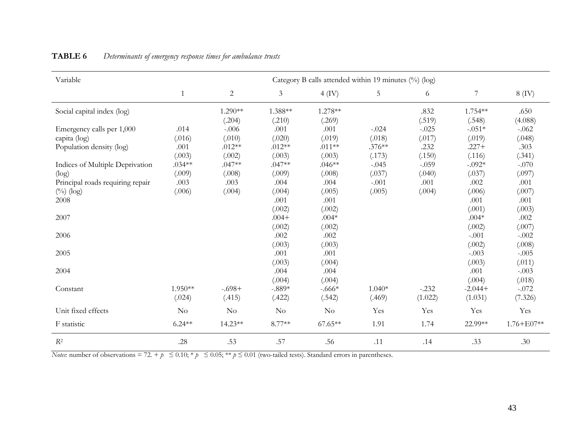| Variable                         | Category B calls attended within 19 minutes (%) (log) |            |                |           |          |         |                |                |
|----------------------------------|-------------------------------------------------------|------------|----------------|-----------|----------|---------|----------------|----------------|
|                                  | 1                                                     | $\sqrt{2}$ | $\mathfrak{Z}$ | $4$ (IV)  | 5        | 6       | $\overline{7}$ | $8$ (IV)       |
| Social capital index (log)       |                                                       | $1.290**$  | 1.388**        | 1.278**   |          | .832    | 1.754**        | .650           |
|                                  |                                                       | (.204)     | (.210)         | (.269)    |          | (.519)  | (.548)         | (4.088)        |
| Emergency calls per 1,000        | .014                                                  | $-.006$    | .001           | .001      | $-.024$  | $-.025$ | $-.051*$       | $-.062$        |
| capita (log)                     | (.016)                                                | (.010)     | (.020)         | (.019)    | (.018)   | (.017)  | (.019)         | (.048)         |
| Population density (log)         | .001                                                  | $.012**$   | $.012**$       | $.011**$  | $.376**$ | .232    | $.227+$        | .303           |
|                                  | (.003)                                                | (.002)     | (.003)         | (.003)    | (.173)   | (.150)  | (.116)         | (.341)         |
| Indices of Multiple Deprivation  | $.034**$                                              | $.047**$   | $.047**$       | $.046**$  | $-.045$  | $-.059$ | $-.092*$       | $-.070$        |
| (log)                            | (.009)                                                | (.008)     | (.009)         | (.008)    | (.037)   | (.040)  | (.037)         | (.097)         |
| Principal roads requiring repair | .003                                                  | .003       | .004           | .004      | $-.001$  | .001    | .002           | .001           |
| $(^{0}/_{0})$ (log)              | (.006)                                                | (.004)     | (.004)         | (.005)    | (.005)   | (.004)  | (.006)         | (.007)         |
| 2008                             |                                                       |            | .001           | .001      |          |         | .001           | .001           |
|                                  |                                                       |            | (.002)         | (.002)    |          |         | (.001)         | (.003)         |
| 2007                             |                                                       |            | $.004+$        | $.004*$   |          |         | $.004*$        | .002           |
|                                  |                                                       |            | (.002)         | (.002)    |          |         | (.002)         | (.007)         |
| 2006                             |                                                       |            | .002           | .002      |          |         | $-.001$        | $-.002$        |
|                                  |                                                       |            | (.003)         | (.003)    |          |         | (.002)         | (.008)         |
| 2005                             |                                                       |            | .001           | .001      |          |         | $-.003$        | $-.005$        |
|                                  |                                                       |            | (.003)         | (.004)    |          |         | (.003)         | (.011)         |
| 2004                             |                                                       |            | .004           | .004      |          |         | .001           | $-.003$        |
|                                  |                                                       |            | (.004)         | (.004)    |          |         | (.004)         | (.018)         |
| Constant                         | $1.950**$                                             | $-.698+$   | $-.889*$       | $-.666*$  | $1.040*$ | $-.232$ | $-2.044+$      | $-.072$        |
|                                  | (.024)                                                | (.415)     | (.422)         | (.542)    | (.469)   | (1.022) | (1.031)        | (7.326)        |
| Unit fixed effects               | $\rm No$                                              | $\rm No$   | N <sub>o</sub> | No        | Yes      | Yes     | Yes            | Yes            |
| F statistic                      | $6.24**$                                              | $14.23**$  | $8.77**$       | $67.65**$ | 1.91     | 1.74    | 22.99**        | $1.76 + E07**$ |
| $R^2$                            | .28                                                   | .53        | .57            | .56       | .11      | .14     | .33            | .30            |

# **TABLE 6** *Determinants of emergency response times for ambulance trusts*

*Notes*: number of observations = 72. +  $p \le 0.10$ ; \*  $p \le 0.05$ ; \*\*  $p \le 0.01$  (two-tailed tests). Standard errors in parentheses.